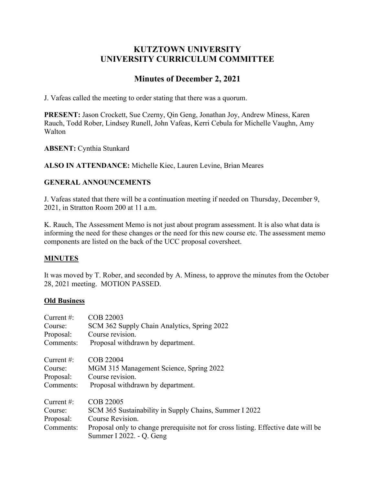# **KUTZTOWN UNIVERSITY UNIVERSITY CURRICULUM COMMITTEE**

# **Minutes of December 2, 2021**

J. Vafeas called the meeting to order stating that there was a quorum.

**PRESENT:** Jason Crockett, Sue Czerny, Qin Geng, Jonathan Joy, Andrew Miness, Karen Rauch, Todd Rober, Lindsey Runell, John Vafeas, Kerri Cebula for Michelle Vaughn, Amy Walton

**ABSENT:** Cynthia Stunkard

**ALSO IN ATTENDANCE:** Michelle Kiec, Lauren Levine, Brian Meares

## **GENERAL ANNOUNCEMENTS**

J. Vafeas stated that there will be a continuation meeting if needed on Thursday, December 9, 2021, in Stratton Room 200 at 11 a.m.

K. Rauch, The Assessment Memo is not just about program assessment. It is also what data is informing the need for these changes or the need for this new course etc. The assessment memo components are listed on the back of the UCC proposal coversheet.

## **MINUTES**

It was moved by T. Rober, and seconded by A. Miness, to approve the minutes from the October 28, 2021 meeting. MOTION PASSED.

#### **Old Business**

| Current $#$ :  | COB 22003                                                                          |
|----------------|------------------------------------------------------------------------------------|
| Course:        | SCM 362 Supply Chain Analytics, Spring 2022                                        |
| Proposal:      | Course revision.                                                                   |
| Comments:      | Proposal withdrawn by department.                                                  |
| Current $\#$ : | COB 22004                                                                          |
| Course:        | MGM 315 Management Science, Spring 2022                                            |
| Proposal:      | Course revision.                                                                   |
| Comments:      | Proposal withdrawn by department.                                                  |
| Current $#$ :  | COB 22005                                                                          |
| Course:        | SCM 365 Sustainability in Supply Chains, Summer I 2022                             |
| Proposal:      | Course Revision.                                                                   |
| Comments:      | Proposal only to change prerequisite not for cross listing. Effective date will be |
|                | Summer I 2022. - Q. Geng                                                           |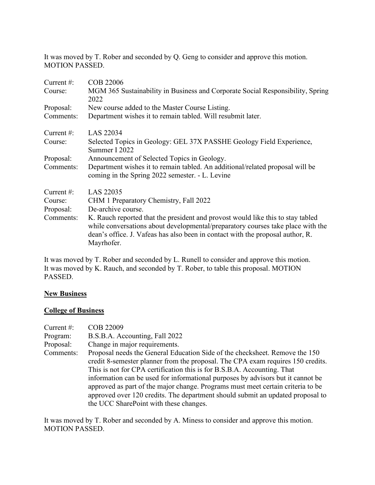It was moved by T. Rober and seconded by Q. Geng to consider and approve this motion. MOTION PASSED.

| Current $\#$ : | COB 22006                                                                                                                                                                                                                                                          |
|----------------|--------------------------------------------------------------------------------------------------------------------------------------------------------------------------------------------------------------------------------------------------------------------|
| Course:        | MGM 365 Sustainability in Business and Corporate Social Responsibility, Spring<br>2022                                                                                                                                                                             |
| Proposal:      | New course added to the Master Course Listing.                                                                                                                                                                                                                     |
| Comments:      | Department wishes it to remain tabled. Will resubmit later.                                                                                                                                                                                                        |
| Current $#$ :  | LAS 22034                                                                                                                                                                                                                                                          |
| Course:        | Selected Topics in Geology: GEL 37X PASSHE Geology Field Experience,<br>Summer I 2022                                                                                                                                                                              |
| Proposal:      | Announcement of Selected Topics in Geology.                                                                                                                                                                                                                        |
| Comments:      | Department wishes it to remain tabled. An additional/related proposal will be<br>coming in the Spring 2022 semester. - L. Levine                                                                                                                                   |
| Current $#$ :  | LAS 22035                                                                                                                                                                                                                                                          |
| Course:        | CHM 1 Preparatory Chemistry, Fall 2022                                                                                                                                                                                                                             |
| Proposal:      | De-archive course.                                                                                                                                                                                                                                                 |
| Comments:      | K. Rauch reported that the president and provost would like this to stay tabled<br>while conversations about developmental/preparatory courses take place with the<br>dean's office. J. Vafeas has also been in contact with the proposal author, R.<br>Mayrhofer. |

It was moved by T. Rober and seconded by L. Runell to consider and approve this motion. It was moved by K. Rauch, and seconded by T. Rober, to table this proposal. MOTION PASSED.

### **New Business**

### **College of Business**

| Current $#$ :<br>Program: | COB 22009<br>B.S.B.A. Accounting, Fall 2022                                                                                                                                                                                                                                                                                                                                                                                                                                                                                                 |
|---------------------------|---------------------------------------------------------------------------------------------------------------------------------------------------------------------------------------------------------------------------------------------------------------------------------------------------------------------------------------------------------------------------------------------------------------------------------------------------------------------------------------------------------------------------------------------|
| Proposal:                 | Change in major requirements.                                                                                                                                                                                                                                                                                                                                                                                                                                                                                                               |
| Comments:                 | Proposal needs the General Education Side of the checksheet. Remove the 150<br>credit 8-semester planner from the proposal. The CPA exam requires 150 credits.<br>This is not for CPA certification this is for B.S.B.A. Accounting. That<br>information can be used for informational purposes by advisors but it cannot be<br>approved as part of the major change. Programs must meet certain criteria to be<br>approved over 120 credits. The department should submit an updated proposal to<br>the UCC SharePoint with these changes. |

It was moved by T. Rober and seconded by A. Miness to consider and approve this motion. MOTION PASSED.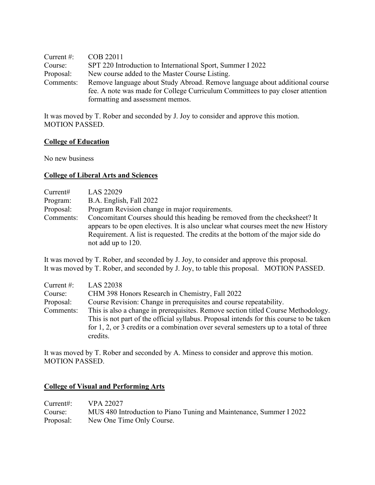| Current $\#$ : | COB 22011                                                                      |
|----------------|--------------------------------------------------------------------------------|
| Course:        | SPT 220 Introduction to International Sport, Summer I 2022                     |
| Proposal:      | New course added to the Master Course Listing.                                 |
| Comments:      | Remove language about Study Abroad. Remove language about additional course    |
|                | fee. A note was made for College Curriculum Committees to pay closer attention |
|                | formatting and assessment memos.                                               |

It was moved by T. Rober and seconded by J. Joy to consider and approve this motion. MOTION PASSED.

#### **College of Education**

No new business

#### **College of Liberal Arts and Sciences**

| Current#  | LAS 22029                                                                                                                                                        |
|-----------|------------------------------------------------------------------------------------------------------------------------------------------------------------------|
| Program:  | B.A. English, Fall 2022                                                                                                                                          |
| Proposal: | Program Revision change in major requirements.                                                                                                                   |
| Comments: | Concomitant Courses should this heading be removed from the checksheet? It<br>appears to be open electives. It is also unclear what courses meet the new History |
|           | Requirement. A list is requested. The credits at the bottom of the major side do                                                                                 |
|           | not add up to 120.                                                                                                                                               |

It was moved by T. Rober, and seconded by J. Joy, to consider and approve this proposal. It was moved by T. Rober, and seconded by J. Joy, to table this proposal. MOTION PASSED.

| Current $#$ : | LAS 22038                                                                                                                                                                    |
|---------------|------------------------------------------------------------------------------------------------------------------------------------------------------------------------------|
| Course:       | CHM 398 Honors Research in Chemistry, Fall 2022                                                                                                                              |
| Proposal:     | Course Revision: Change in prerequisites and course repeatability.                                                                                                           |
| Comments:     | This is also a change in prerequisites. Remove section titled Course Methodology.<br>This is not part of the official syllabus. Proposal intends for this course to be taken |
|               | for 1, 2, or 3 credits or a combination over several semesters up to a total of three                                                                                        |
|               | credits.                                                                                                                                                                     |

It was moved by T. Rober and seconded by A. Miness to consider and approve this motion. MOTION PASSED.

# **College of Visual and Performing Arts**

| Current#: $VPA 22027$ |                                                                     |
|-----------------------|---------------------------------------------------------------------|
| Course:               | MUS 480 Introduction to Piano Tuning and Maintenance, Summer I 2022 |
|                       | Proposal: New One Time Only Course.                                 |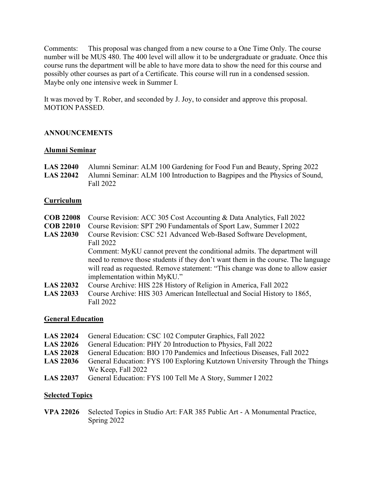Comments: This proposal was changed from a new course to a One Time Only. The course number will be MUS 480. The 400 level will allow it to be undergraduate or graduate. Once this course runs the department will be able to have more data to show the need for this course and possibly other courses as part of a Certificate. This course will run in a condensed session. Maybe only one intensive week in Summer I.

It was moved by T. Rober, and seconded by J. Joy, to consider and approve this proposal. MOTION PASSED.

## **ANNOUNCEMENTS**

#### **Alumni Seminar**

**LAS 22040** Alumni Seminar: ALM 100 Gardening for Food Fun and Beauty, Spring 2022 **LAS 22042** Alumni Seminar: ALM 100 Introduction to Bagpipes and the Physics of Sound, Fall 2022

#### **Curriculum**

- **COB 22008** Course Revision: ACC 305 Cost Accounting & Data Analytics, Fall 2022
- **COB 22010** Course Revision: SPT 290 Fundamentals of Sport Law, Summer I 2022
- **LAS 22030** Course Revision: CSC 521 Advanced Web-Based Software Development, Fall 2022

Comment: MyKU cannot prevent the conditional admits. The department will need to remove those students if they don't want them in the course. The language will read as requested. Remove statement: "This change was done to allow easier implementation within MyKU."

- **LAS 22032** Course Archive: HIS 228 History of Religion in America, Fall 2022
- **LAS 22033** Course Archive: HIS 303 American Intellectual and Social History to 1865, Fall 2022

#### **General Education**

- **LAS 22024** General Education: CSC 102 Computer Graphics, Fall 2022
- **LAS 22026** General Education: PHY 20 Introduction to Physics, Fall 2022
- **LAS 22028** General Education: BIO 170 Pandemics and Infectious Diseases, Fall 2022
- **LAS 22036** General Education: FYS 100 Exploring Kutztown University Through the Things We Keep, Fall 2022
- **LAS 22037** General Education: FYS 100 Tell Me A Story, Summer I 2022

#### **Selected Topics**

**VPA 22026** Selected Topics in Studio Art: FAR 385 Public Art - A Monumental Practice, Spring 2022